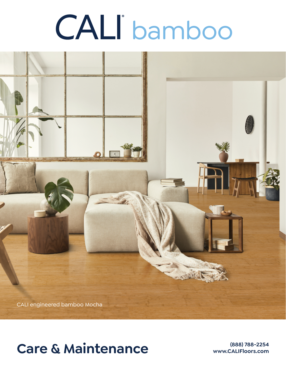# bamboo



# Care & Maintenance **Care & Maintenance**

**www.CALIFloors.com**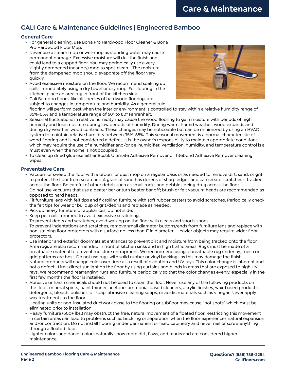# **CALI Care & Maintenance Guidelines | Engineered Bamboo**

# **General Care**

- For general cleaning, use Bona Pro Hardwood Floor Cleaner & Bona Pro Hardwood Floor Mop.
- Never use a steam mop or wet-mop as standing water may cause permanent damage. Excessive moisture will dull the finish and could lead to a cupped floor. You may periodically use a very slightly dampened (near dry) mop to spot-clean. The moisture from the dampened mop should evaporate off the floor very quickly.
- Avoid excessive moisture on the floor. We recommend soaking up spills immediately using a dry towel or dry mop. For flooring in the kitchen, place an area rug in front of the kitchen sink.



- Cali Bamboo floors, like all species of hardwood flooring, are subject to changes in temperature and humidity. As a general rule, flooring will perform best when the interior environment is controlled to stay within a relative humidity range of 35%-65% and a temperature range of 60° to 80° Fahrenheit.
- Seasonal fluctuations in relative humidity may cause the wood flooring to gain moisture with periods of high humidity and lose moisture during low periods of humidity. During warm, humid weather, wood expands and during dry weather, wood contracts. These changes may be noticeable but can be minimized by using an HVAC system to maintain relative humidity between 35%-65%. This seasonal movement is a normal characteristic of wood flooring and is not considered a defect. It is the owner's responsibility to maintain appropriate conditions which may require the use of a humidifier and/or de-humidifier. Ventilation, humidity, and temperature control is a must even when the home is not occupied.
- To clean up dried glue use either Bostik Ultimate Adhesive Remover or Titebond Adhesive Remover cleaning wipes.

# **Preventative Care**

- Vacuum or sweep the floor with a broom or dust mop on a regular basis or as needed to remove dirt, sand, or grit to protect the floor from scratches. A grain of sand has dozens of sharp edges and can create scratches if tracked across the floor. Be careful of other debris such as small rocks and pebbles being drug across the floor.
- Do not use vacuums that use a beater bar or turn beater bar off; brush or felt vacuum heads are recommended as opposed to hard heads.
- Fit furniture legs with felt tips and fix rolling furniture with soft rubber casters to avoid scratches. Periodically check the felt tips for wear or buildup of grit/debris and replace as needed.
- Pick up heavy furniture or appliances; do not slide.
- Keep pet nails trimmed to avoid excessive scratching.
- To prevent dents and scratches, avoid walking on the floor with cleats and sports shoes.
- To prevent indentations and scratches, remove small diameter buttons/ends from furniture legs and replace with non-staining floor protectors with a surface no less than 1" in diameter. Heavier objects may require wider floor protectors.
- Use interior and exterior doormats at entrances to prevent dirt and moisture from being tracked onto the floor. Area rugs are also recommended in front of kitchen sinks and in high traffic areas. Rugs must be made of a breathable material to prevent moisture entrapment. We recommend using a breathable rug underlay; mesh or grid patterns are best. Do not use rugs with solid rubber or vinyl backings as this may damage the finish.
- Natural products will change color over time as a result of oxidation and UV rays. This color change is inherent and not a defect. Limit direct sunlight on the floor by using curtains and blinds in areas that are exposed to high UV rays. We recommend rearranging rugs and furniture periodically so that the color changes evenly, especially in the first few months the floor is installed.
- Abrasive or harsh chemicals should not be used to clean the floor. Never use any of the following products on the floor: mineral spirits, paint thinner, acetone, ammonia-based cleaners, acrylic finishes, wax-based products, detergents, bleach, polishes, oil soap, abrasive cleaning soaps, or acidic materials such as vinegar. Never apply wax treatments to the floor.
- Heating units or non-insulated ductwork close to the flooring or subfloor may cause "hot spots" which must be eliminated prior to installation.
- Heavy furniture (500+ lbs.) may obstruct the free, natural movement of a floated floor. Restricting this movement in certain areas can lead to problems such as buckling or separation when the floor experiences natural expansion and/or contraction. Do not install flooring under permanent or fixed cabinetry and never nail or screw anything through a floated floor.
- Lighter colors and darker colors naturally show more dirt, flaws, and marks and are considered higher maintenance.